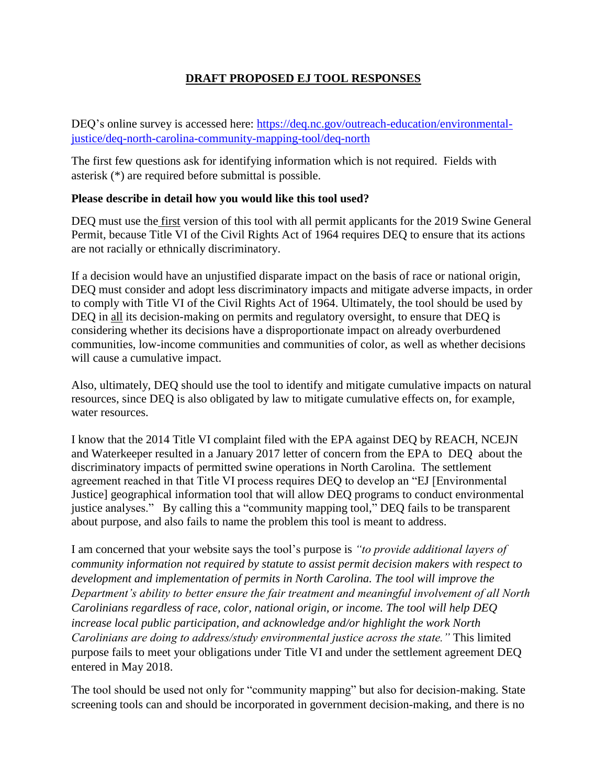### **DRAFT PROPOSED EJ TOOL RESPONSES**

DEQ's online survey is accessed here: [https://deq.nc.gov/outreach-education/environmental](https://deq.nc.gov/outreach-education/environmental-justice/deq-north-carolina-community-mapping-tool/deq-north)[justice/deq-north-carolina-community-mapping-tool/deq-north](https://deq.nc.gov/outreach-education/environmental-justice/deq-north-carolina-community-mapping-tool/deq-north)

The first few questions ask for identifying information which is not required. Fields with asterisk (\*) are required before submittal is possible.

#### **Please describe in detail how you would like this tool used?**

DEQ must use the first version of this tool with all permit applicants for the 2019 Swine General Permit, because Title VI of the Civil Rights Act of 1964 requires DEQ to ensure that its actions are not racially or ethnically discriminatory.

If a decision would have an unjustified disparate impact on the basis of race or national origin, DEQ must consider and adopt less discriminatory impacts and mitigate adverse impacts, in order to comply with Title VI of the Civil Rights Act of 1964. Ultimately, the tool should be used by DEQ in all its decision-making on permits and regulatory oversight, to ensure that DEQ is considering whether its decisions have a disproportionate impact on already overburdened communities, low-income communities and communities of color, as well as whether decisions will cause a cumulative impact.

Also, ultimately, DEQ should use the tool to identify and mitigate cumulative impacts on natural resources, since DEQ is also obligated by law to mitigate cumulative effects on, for example, water resources.

I know that the 2014 Title VI complaint filed with the EPA against DEQ by REACH, NCEJN and Waterkeeper resulted in a January 2017 letter of concern from the EPA to DEQ about the discriminatory impacts of permitted swine operations in North Carolina. The settlement agreement reached in that Title VI process requires DEQ to develop an "EJ [Environmental Justice] geographical information tool that will allow DEQ programs to conduct environmental justice analyses." By calling this a "community mapping tool," DEQ fails to be transparent about purpose, and also fails to name the problem this tool is meant to address.

I am concerned that your website says the tool's purpose is *"to provide additional layers of community information not required by statute to assist permit decision makers with respect to development and implementation of permits in North Carolina. The tool will improve the Department's ability to better ensure the fair treatment and meaningful involvement of all North Carolinians regardless of race, color, national origin, or income. The tool will help DEQ increase local public participation, and acknowledge and/or highlight the work North Carolinians are doing to address/study environmental justice across the state."* This limited purpose fails to meet your obligations under Title VI and under the settlement agreement DEQ entered in May 2018.

The tool should be used not only for "community mapping" but also for decision-making. State screening tools can and should be incorporated in government decision-making, and there is no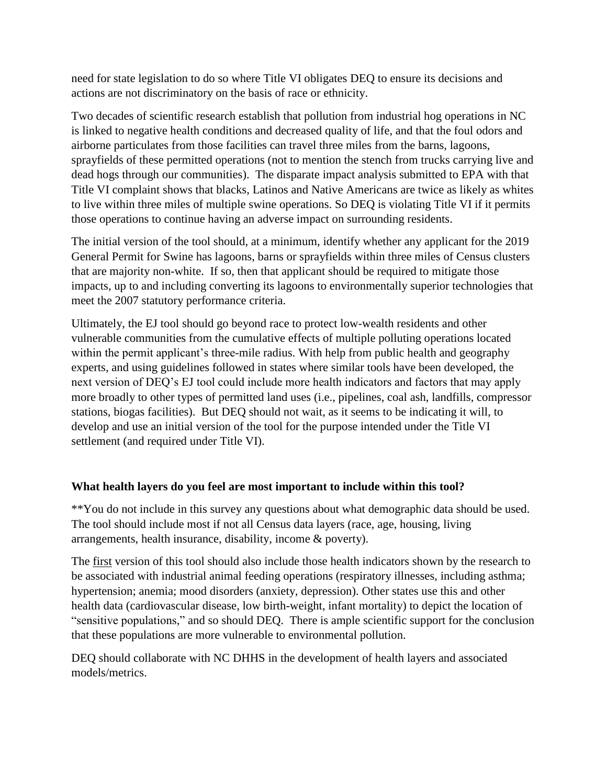need for state legislation to do so where Title VI obligates DEQ to ensure its decisions and actions are not discriminatory on the basis of race or ethnicity.

Two decades of scientific research establish that pollution from industrial hog operations in NC is linked to negative health conditions and decreased quality of life, and that the foul odors and airborne particulates from those facilities can travel three miles from the barns, lagoons, sprayfields of these permitted operations (not to mention the stench from trucks carrying live and dead hogs through our communities). The disparate impact analysis submitted to EPA with that Title VI complaint shows that blacks, Latinos and Native Americans are twice as likely as whites to live within three miles of multiple swine operations. So DEQ is violating Title VI if it permits those operations to continue having an adverse impact on surrounding residents.

The initial version of the tool should, at a minimum, identify whether any applicant for the 2019 General Permit for Swine has lagoons, barns or sprayfields within three miles of Census clusters that are majority non-white. If so, then that applicant should be required to mitigate those impacts, up to and including converting its lagoons to environmentally superior technologies that meet the 2007 statutory performance criteria.

Ultimately, the EJ tool should go beyond race to protect low-wealth residents and other vulnerable communities from the cumulative effects of multiple polluting operations located within the permit applicant's three-mile radius. With help from public health and geography experts, and using guidelines followed in states where similar tools have been developed, the next version of DEQ's EJ tool could include more health indicators and factors that may apply more broadly to other types of permitted land uses (i.e., pipelines, coal ash, landfills, compressor stations, biogas facilities). But DEQ should not wait, as it seems to be indicating it will, to develop and use an initial version of the tool for the purpose intended under the Title VI settlement (and required under Title VI).

# **What health layers do you feel are most important to include within this tool?**

\*\*You do not include in this survey any questions about what demographic data should be used. The tool should include most if not all Census data layers (race, age, housing, living arrangements, health insurance, disability, income & poverty).

The first version of this tool should also include those health indicators shown by the research to be associated with industrial animal feeding operations (respiratory illnesses, including asthma; hypertension; anemia; mood disorders (anxiety, depression). Other states use this and other health data (cardiovascular disease, low birth-weight, infant mortality) to depict the location of "sensitive populations," and so should DEQ. There is ample scientific support for the conclusion that these populations are more vulnerable to environmental pollution.

DEQ should collaborate with NC DHHS in the development of health layers and associated models/metrics.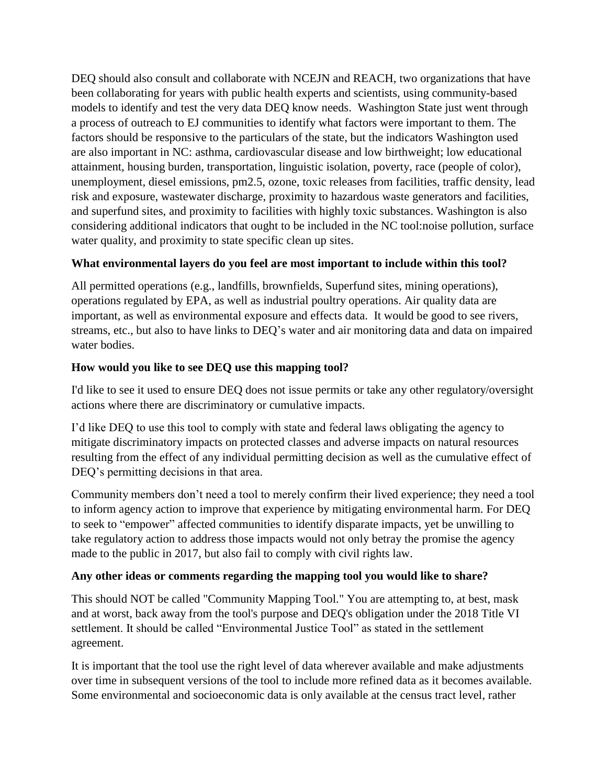DEQ should also consult and collaborate with NCEJN and REACH, two organizations that have been collaborating for years with public health experts and scientists, using community-based models to identify and test the very data DEQ know needs. Washington State just went through a process of outreach to EJ communities to identify what factors were important to them. The factors should be responsive to the particulars of the state, but the indicators Washington used are also important in NC: asthma, cardiovascular disease and low birthweight; low educational attainment, housing burden, transportation, linguistic isolation, poverty, race (people of color), unemployment, diesel emissions, pm2.5, ozone, toxic releases from facilities, traffic density, lead risk and exposure, wastewater discharge, proximity to hazardous waste generators and facilities, and superfund sites, and proximity to facilities with highly toxic substances. Washington is also considering additional indicators that ought to be included in the NC tool:noise pollution, surface water quality, and proximity to state specific clean up sites.

### **What environmental layers do you feel are most important to include within this tool?**

All permitted operations (e.g., landfills, brownfields, Superfund sites, mining operations), operations regulated by EPA, as well as industrial poultry operations. Air quality data are important, as well as environmental exposure and effects data. It would be good to see rivers, streams, etc., but also to have links to DEQ's water and air monitoring data and data on impaired water bodies.

### **How would you like to see DEQ use this mapping tool?**

I'd like to see it used to ensure DEQ does not issue permits or take any other regulatory/oversight actions where there are discriminatory or cumulative impacts.

I'd like DEQ to use this tool to comply with state and federal laws obligating the agency to mitigate discriminatory impacts on protected classes and adverse impacts on natural resources resulting from the effect of any individual permitting decision as well as the cumulative effect of DEQ's permitting decisions in that area.

Community members don't need a tool to merely confirm their lived experience; they need a tool to inform agency action to improve that experience by mitigating environmental harm. For DEQ to seek to "empower" affected communities to identify disparate impacts, yet be unwilling to take regulatory action to address those impacts would not only betray the promise the agency made to the public in 2017, but also fail to comply with civil rights law.

# **Any other ideas or comments regarding the mapping tool you would like to share?**

This should NOT be called "Community Mapping Tool." You are attempting to, at best, mask and at worst, back away from the tool's purpose and DEQ's obligation under the 2018 Title VI settlement. It should be called "Environmental Justice Tool" as stated in the settlement agreement.

It is important that the tool use the right level of data wherever available and make adjustments over time in subsequent versions of the tool to include more refined data as it becomes available. Some environmental and socioeconomic data is only available at the census tract level, rather